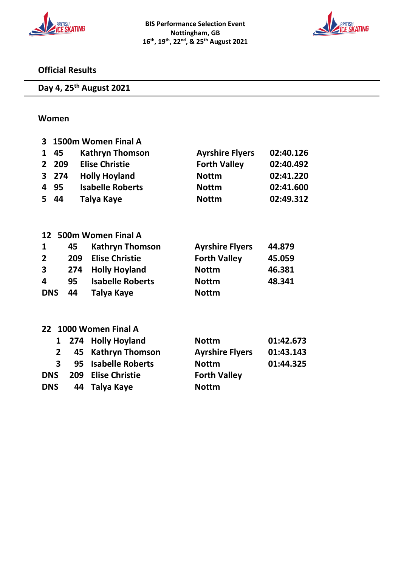



## **Official Results**

**Day 4, 25 th August 2021**

#### **Women**

| 3                 | 1500m Women Final A |     |                               |              |                                     |  |
|-------------------|---------------------|-----|-------------------------------|--------------|-------------------------------------|--|
| 1                 | 45                  |     | <b>Kathryn Thomson</b>        |              | <b>Ayrshire Flyers</b><br>02:40.126 |  |
| 2                 | 209                 |     | <b>Elise Christie</b>         |              | <b>Forth Valley</b><br>02:40.492    |  |
| 3                 | 274                 |     | <b>Holly Hoyland</b>          | <b>Nottm</b> | 02:41.220                           |  |
| 4                 | 95                  |     | <b>Isabelle Roberts</b>       | <b>Nottm</b> | 02:41.600                           |  |
| 5.                | 44                  |     | Talya Kaye                    | <b>Nottm</b> | 02:49.312                           |  |
| 12                |                     |     | 500m Women Final A            |              |                                     |  |
| $\mathbf{1}$      |                     | 45  | <b>Kathryn Thomson</b>        |              | <b>Ayrshire Flyers</b><br>44.879    |  |
| $\overline{2}$    | 209                 |     | <b>Elise Christie</b>         |              | <b>Forth Valley</b><br>45.059       |  |
| 3                 |                     | 274 | <b>Holly Hoyland</b>          | <b>Nottm</b> | 46.381                              |  |
| 4                 |                     | 95  | <b>Isabelle Roberts</b>       | <b>Nottm</b> | 48.341                              |  |
| <b>DNS</b>        |                     | 44  | Talya Kaye                    | <b>Nottm</b> |                                     |  |
| $22 \overline{ }$ |                     |     | 1000 Women Final A            |              |                                     |  |
|                   | 1                   | 274 | <b>Holly Hoyland</b>          | <b>Nottm</b> | 01:42.673                           |  |
|                   | 2                   |     | <b>Kathryn Thomson</b><br>45  |              | 01:43.143<br><b>Ayrshire Flyers</b> |  |
|                   | 3                   |     | <b>Isabelle Roberts</b><br>95 | <b>Nottm</b> | 01:44.325                           |  |
| <b>DNS</b>        |                     | 209 | <b>Elise Christie</b>         |              | <b>Forth Valley</b>                 |  |
| <b>DNS</b>        |                     | 44  | Talya Kaye                    | <b>Nottm</b> |                                     |  |
|                   |                     |     |                               |              |                                     |  |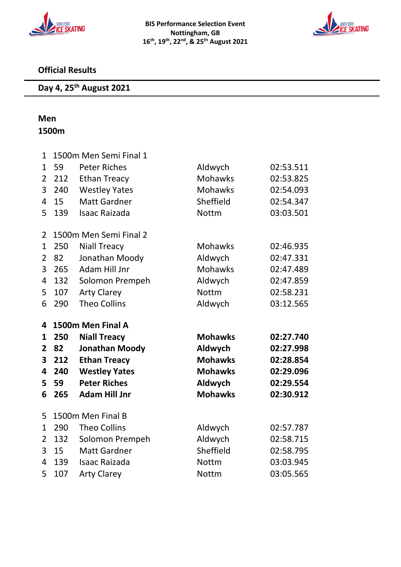



## **Official Results**

#### **Day 4, 25 th August 2021**

# **Men**

# **1500m**

| $\mathbf{1}$   | 1500m Men Semi Final 1 |                        |                |           |  |  |
|----------------|------------------------|------------------------|----------------|-----------|--|--|
| $\mathbf{1}$   | 59                     | <b>Peter Riches</b>    | Aldwych        | 02:53.511 |  |  |
| $\overline{2}$ | 212                    | <b>Ethan Treacy</b>    | <b>Mohawks</b> | 02:53.825 |  |  |
| 3              | 240                    | <b>Westley Yates</b>   | Mohawks        | 02:54.093 |  |  |
| 4              | 15                     | <b>Matt Gardner</b>    | Sheffield      | 02:54.347 |  |  |
| 5              | 139                    | <b>Isaac Raizada</b>   | <b>Nottm</b>   | 03:03.501 |  |  |
| $\overline{2}$ |                        | 1500m Men Semi Final 2 |                |           |  |  |
| 1              | 250                    | <b>Niall Treacy</b>    | Mohawks        | 02:46.935 |  |  |
| $\overline{2}$ | 82                     | Jonathan Moody         | Aldwych        | 02:47.331 |  |  |
| 3              | 265                    | Adam Hill Jnr          | <b>Mohawks</b> | 02:47.489 |  |  |
| 4              | 132                    | Solomon Prempeh        | Aldwych        | 02:47.859 |  |  |
| 5              | 107                    | <b>Arty Clarey</b>     | <b>Nottm</b>   | 02:58.231 |  |  |
| 6              | 290                    | <b>Theo Collins</b>    | Aldwych        | 03:12.565 |  |  |
|                |                        |                        |                |           |  |  |
| 4              |                        | 1500m Men Final A      |                |           |  |  |
| $\mathbf{1}$   | 250                    | <b>Niall Treacy</b>    | <b>Mohawks</b> | 02:27.740 |  |  |
| 2              | 82                     | <b>Jonathan Moody</b>  | Aldwych        | 02:27.998 |  |  |
| 3              | 212                    | <b>Ethan Treacy</b>    | <b>Mohawks</b> | 02:28.854 |  |  |
| 4              | 240                    | <b>Westley Yates</b>   | <b>Mohawks</b> | 02:29.096 |  |  |
| 5              | 59                     | <b>Peter Riches</b>    | Aldwych        | 02:29.554 |  |  |
| 6              | 265                    | <b>Adam Hill Jnr</b>   | <b>Mohawks</b> | 02:30.912 |  |  |
| 5              |                        | 1500m Men Final B      |                |           |  |  |
| $\mathbf 1$    | 290                    | <b>Theo Collins</b>    | Aldwych        | 02:57.787 |  |  |
| 2              | 132                    | Solomon Prempeh        | Aldwych        | 02:58.715 |  |  |
| 3              | 15                     | <b>Matt Gardner</b>    | Sheffield      | 02:58.795 |  |  |
| 4              | 139                    | <b>Isaac Raizada</b>   | <b>Nottm</b>   | 03:03.945 |  |  |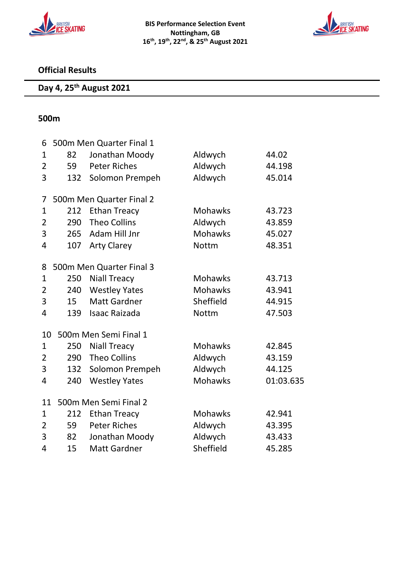



# **Official Results**

#### **Day 4, 25 th August 2021**

#### **500m**

| 82  | Jonathan Moody       | Aldwych                                                                                                                                                 | 44.02     |  |  |
|-----|----------------------|---------------------------------------------------------------------------------------------------------------------------------------------------------|-----------|--|--|
| 59  | <b>Peter Riches</b>  | Aldwych                                                                                                                                                 | 44.198    |  |  |
| 132 | Solomon Prempeh      | Aldwych                                                                                                                                                 | 45.014    |  |  |
|     |                      |                                                                                                                                                         |           |  |  |
| 212 | <b>Ethan Treacy</b>  | <b>Mohawks</b>                                                                                                                                          | 43.723    |  |  |
|     | <b>Theo Collins</b>  |                                                                                                                                                         | 43.859    |  |  |
| 265 | Adam Hill Jnr        | <b>Mohawks</b>                                                                                                                                          | 45.027    |  |  |
| 107 | <b>Arty Clarey</b>   | <b>Nottm</b>                                                                                                                                            | 48.351    |  |  |
|     |                      |                                                                                                                                                         |           |  |  |
| 250 | <b>Niall Treacy</b>  | <b>Mohawks</b>                                                                                                                                          | 43.713    |  |  |
|     | <b>Westley Yates</b> | Mohawks                                                                                                                                                 | 43.941    |  |  |
| 15  | <b>Matt Gardner</b>  | Sheffield                                                                                                                                               | 44.915    |  |  |
| 139 | <b>Isaac Raizada</b> | <b>Nottm</b>                                                                                                                                            | 47.503    |  |  |
|     |                      |                                                                                                                                                         |           |  |  |
| 250 | <b>Niall Treacy</b>  | <b>Mohawks</b>                                                                                                                                          | 42.845    |  |  |
|     | <b>Theo Collins</b>  | Aldwych                                                                                                                                                 | 43.159    |  |  |
| 132 | Solomon Prempeh      | Aldwych                                                                                                                                                 | 44.125    |  |  |
| 240 | <b>Westley Yates</b> | <b>Mohawks</b>                                                                                                                                          | 01:03.635 |  |  |
|     |                      |                                                                                                                                                         |           |  |  |
| 212 | <b>Ethan Treacy</b>  | <b>Mohawks</b>                                                                                                                                          | 42.941    |  |  |
| 59  | <b>Peter Riches</b>  | Aldwych                                                                                                                                                 | 43.395    |  |  |
| 82  | Jonathan Moody       | Aldwych                                                                                                                                                 | 43.433    |  |  |
| 15  | <b>Matt Gardner</b>  | Sheffield                                                                                                                                               | 45.285    |  |  |
|     | 10<br>11             | 500m Men Quarter Final 1<br>500m Men Quarter Final 2<br>290<br>500m Men Quarter Final 3<br>240<br>500m Men Semi Final 1<br>290<br>500m Men Semi Final 2 | Aldwych   |  |  |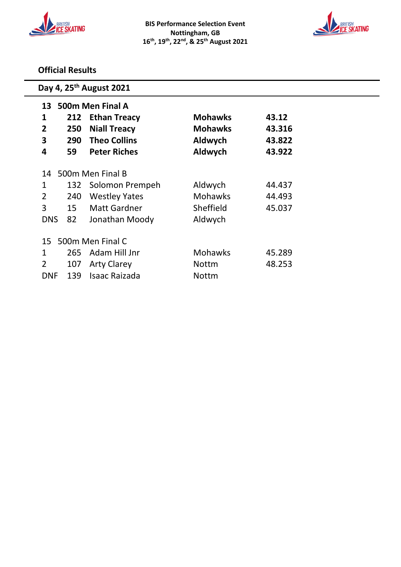



## **Official Results**

| Day 4, 25 <sup>th</sup> August 2021 |                                                       |                      |                |        |  |  |  |
|-------------------------------------|-------------------------------------------------------|----------------------|----------------|--------|--|--|--|
| 13                                  | 500m Men Final A                                      |                      |                |        |  |  |  |
| 1                                   | <b>Mohawks</b><br>43.12<br>212<br><b>Ethan Treacy</b> |                      |                |        |  |  |  |
| $\overline{2}$                      | 250                                                   | <b>Niall Treacy</b>  | <b>Mohawks</b> | 43.316 |  |  |  |
| 3                                   | 290                                                   | <b>Theo Collins</b>  | Aldwych        | 43.822 |  |  |  |
| 4                                   | 59                                                    | <b>Peter Riches</b>  | Aldwych        | 43.922 |  |  |  |
| 14                                  |                                                       | 500m Men Final B     |                |        |  |  |  |
| 1                                   | 132                                                   | Solomon Prempeh      | Aldwych        | 44.437 |  |  |  |
| $\overline{2}$                      | 240                                                   | <b>Westley Yates</b> | <b>Mohawks</b> | 44.493 |  |  |  |
| 3                                   | 15                                                    | <b>Matt Gardner</b>  | Sheffield      | 45.037 |  |  |  |
| <b>DNS</b>                          | 82                                                    | Jonathan Moody       | Aldwych        |        |  |  |  |
|                                     |                                                       |                      |                |        |  |  |  |
| 500m Men Final C<br>15              |                                                       |                      |                |        |  |  |  |
| 1                                   | 265                                                   | Adam Hill Jnr        | <b>Mohawks</b> | 45.289 |  |  |  |
| $\overline{2}$                      | 107                                                   | <b>Arty Clarey</b>   | <b>Nottm</b>   | 48.253 |  |  |  |
| <b>DNF</b>                          | 139                                                   | Isaac Raizada        | <b>Nottm</b>   |        |  |  |  |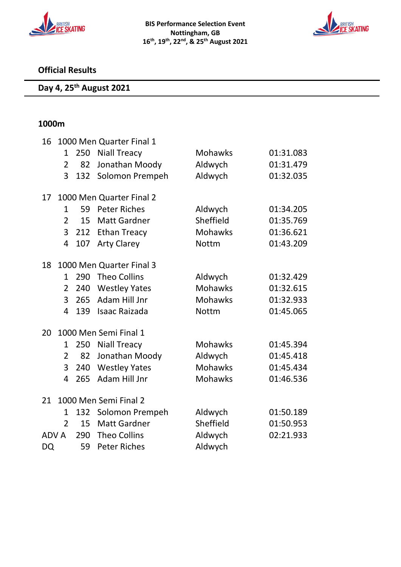



# **Official Results**

#### **Day 4, 25 th August 2021**

#### **1000m**

| 16          | 1000 Men Quarter Final 1 |     |                          |                |           |  |
|-------------|--------------------------|-----|--------------------------|----------------|-----------|--|
|             | $\mathbf{1}$             | 250 | <b>Niall Treacy</b>      | <b>Mohawks</b> | 01:31.083 |  |
|             | $\overline{2}$           | 82  | Jonathan Moody           | Aldwych        | 01:31.479 |  |
|             | 3                        | 132 | Solomon Prempeh          | Aldwych        | 01:32.035 |  |
| 17          |                          |     | 1000 Men Quarter Final 2 |                |           |  |
|             | $\mathbf{1}$             | 59  | <b>Peter Riches</b>      | Aldwych        | 01:34.205 |  |
|             | $\overline{2}$           | 15  | <b>Matt Gardner</b>      | Sheffield      | 01:35.769 |  |
|             | 3                        |     | 212 Ethan Treacy         | <b>Mohawks</b> | 01:36.621 |  |
|             | $\overline{4}$           | 107 | <b>Arty Clarey</b>       | <b>Nottm</b>   | 01:43.209 |  |
| 18          |                          |     | 1000 Men Quarter Final 3 |                |           |  |
|             | 1                        | 290 | <b>Theo Collins</b>      | Aldwych        | 01:32.429 |  |
|             | $\overline{2}$           | 240 | <b>Westley Yates</b>     | <b>Mohawks</b> | 01:32.615 |  |
|             | 3                        | 265 | Adam Hill Jnr            | <b>Mohawks</b> | 01:32.933 |  |
|             | 4                        | 139 | <b>Isaac Raizada</b>     | <b>Nottm</b>   | 01:45.065 |  |
| 20          |                          |     | 1000 Men Semi Final 1    |                |           |  |
|             | $\mathbf{1}$             | 250 | <b>Niall Treacy</b>      | <b>Mohawks</b> | 01:45.394 |  |
|             | $\overline{2}$           | 82  | Jonathan Moody           | Aldwych        | 01:45.418 |  |
|             | 3                        | 240 | <b>Westley Yates</b>     | <b>Mohawks</b> | 01:45.434 |  |
|             | 4                        | 265 | Adam Hill Jnr            | <b>Mohawks</b> | 01:46.536 |  |
| 21          |                          |     | 1000 Men Semi Final 2    |                |           |  |
|             | 1                        | 132 | Solomon Prempeh          | Aldwych        | 01:50.189 |  |
|             | $\overline{2}$           | 15  | <b>Matt Gardner</b>      | Sheffield      | 01:50.953 |  |
| <b>ADVA</b> |                          | 290 | <b>Theo Collins</b>      | Aldwych        | 02:21.933 |  |
| DQ          |                          | 59  | <b>Peter Riches</b>      | Aldwych        |           |  |